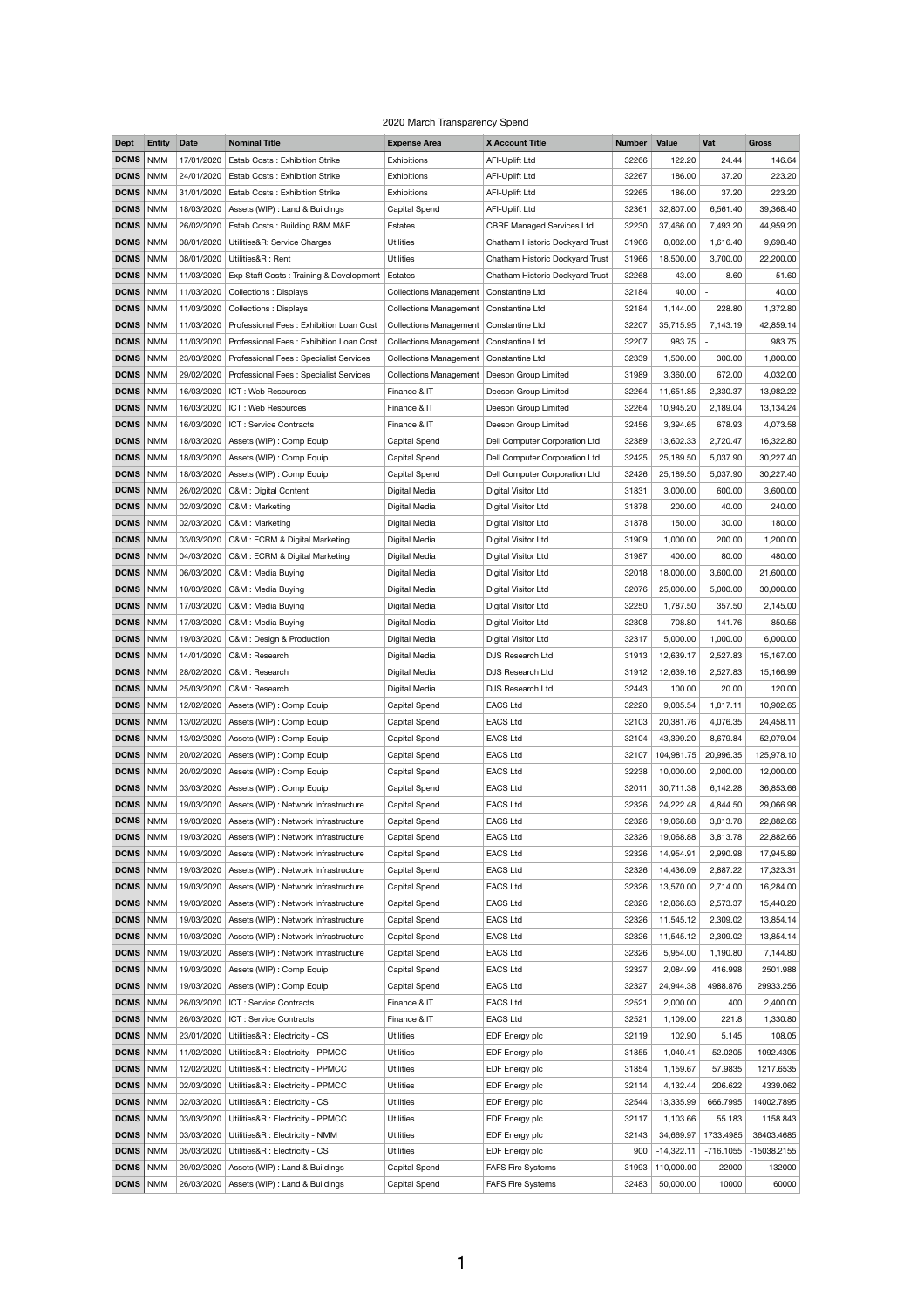| <b>Dept</b> | <b>Entity</b> | <b>Date</b> | <b>Nominal Title</b>                    | <b>Expense Area</b>           | <b>X Account Title</b>           | <b>Number</b> | <b>Value</b> | Vat                      | <b>Gross</b> |
|-------------|---------------|-------------|-----------------------------------------|-------------------------------|----------------------------------|---------------|--------------|--------------------------|--------------|
| <b>DCMS</b> | <b>NMM</b>    | 17/01/2020  | Estab Costs: Exhibition Strike          | Exhibitions                   | <b>AFI-Uplift Ltd</b>            | 32266         | 122.20       | 24.44                    | 146.64       |
| <b>DCMS</b> | <b>NMM</b>    | 24/01/2020  | <b>Estab Costs: Exhibition Strike</b>   | Exhibitions                   | <b>AFI-Uplift Ltd</b>            | 32267         | 186.00       | 37.20                    | 223.20       |
| DCMS        | <b>NMM</b>    | 31/01/2020  | Estab Costs: Exhibition Strike          | Exhibitions                   | <b>AFI-Uplift Ltd</b>            | 32265         | 186.00       | 37.20                    | 223.20       |
| DCMS        | <b>NMM</b>    | 18/03/2020  | Assets (WIP) : Land & Buildings         | <b>Capital Spend</b>          | <b>AFI-Uplift Ltd</b>            | 32361         | 32,807.00    | 6,561.40                 | 39,368.40    |
| <b>DCMS</b> | <b>NMM</b>    | 26/02/2020  | Estab Costs: Building R&M M&E           | Estates                       | <b>CBRE Managed Services Ltd</b> | 32230         | 37,466.00    | 7,493.20                 | 44,959.20    |
| <b>DCMS</b> | <b>NMM</b>    | 08/01/2020  | Utilities&R: Service Charges            | <b>Utilities</b>              | Chatham Historic Dockyard Trust  | 31966         | 8,082.00     | 1,616.40                 | 9,698.40     |
| DCMS        | <b>NMM</b>    | 08/01/2020  | Utilities&R: Rent                       | <b>Utilities</b>              | Chatham Historic Dockyard Trust  | 31966         | 18,500.00    | 3,700.00                 | 22,200.00    |
| <b>DCMS</b> | <b>NMM</b>    | 11/03/2020  | Exp Staff Costs: Training & Development | Estates                       | Chatham Historic Dockyard Trust  | 32268         | 43.00        | 8.60                     | 51.60        |
| <b>DCMS</b> | <b>NMM</b>    | 11/03/2020  | <b>Collections: Displays</b>            | <b>Collections Management</b> | Constantine Ltd                  | 32184         | 40.00        | $\overline{\phantom{a}}$ | 40.00        |
| DCMS        | <b>NMM</b>    | 11/03/2020  | <b>Collections: Displays</b>            | <b>Collections Management</b> | Constantine Ltd                  | 32184         | 1,144.00     | 228.80                   | 1,372.80     |
|             |               |             |                                         |                               |                                  |               |              |                          |              |
| <b>DCMS</b> | <b>NMM</b>    | 11/03/2020  | Professional Fees: Exhibition Loan Cost | <b>Collections Management</b> | Constantine Ltd                  | 32207         | 35,715.95    | 7,143.19                 | 42,859.14    |
| <b>DCMS</b> | <b>NMM</b>    | 11/03/2020  | Professional Fees: Exhibition Loan Cost | <b>Collections Management</b> | Constantine Ltd                  | 32207         | 983.75       |                          | 983.75       |
| DCMS        | <b>NMM</b>    | 23/03/2020  | Professional Fees: Specialist Services  | <b>Collections Management</b> | Constantine Ltd                  | 32339         | 1,500.00     | 300.00                   | 1,800.00     |
| <b>DCMS</b> | <b>NMM</b>    | 29/02/2020  | Professional Fees: Specialist Services  | <b>Collections Management</b> | Deeson Group Limited             | 31989         | 3,360.00     | 672.00                   | 4,032.00     |
| <b>DCMS</b> | <b>NMM</b>    | 16/03/2020  | ICT: Web Resources                      | Finance & IT                  | Deeson Group Limited             | 32264         | 11,651.85    | 2,330.37                 | 13,982.22    |
| DCMS        | <b>NMM</b>    | 16/03/2020  | ICT: Web Resources                      | Finance & IT                  | Deeson Group Limited             | 32264         | 10,945.20    | 2,189.04                 | 13,134.24    |
| <b>DCMS</b> | <b>NMM</b>    | 16/03/2020  | ICT: Service Contracts                  | Finance & IT                  | Deeson Group Limited             | 32456         | 3,394.65     | 678.93                   | 4,073.58     |
| <b>DCMS</b> | <b>NMM</b>    | 18/03/2020  | Assets (WIP) : Comp Equip               | Capital Spend                 | Dell Computer Corporation Ltd    | 32389         | 13,602.33    | 2,720.47                 | 16,322.80    |
| DCMS        | <b>NMM</b>    | 18/03/2020  | Assets (WIP) : Comp Equip               | Capital Spend                 | Dell Computer Corporation Ltd    | 32425         | 25,189.50    | 5,037.90                 | 30,227.40    |
| DCMS        | <b>NMM</b>    | 18/03/2020  | Assets (WIP) : Comp Equip               | <b>Capital Spend</b>          | Dell Computer Corporation Ltd    | 32426         | 25,189.50    | 5,037.90                 | 30,227.40    |
| DCMS        | <b>NMM</b>    | 26/02/2020  | C&M : Digital Content                   | Digital Media                 | Digital Visitor Ltd              | 31831         | 3,000.00     | 600.00                   | 3,600.00     |
| DCMS   NMM  |               |             | 02/03/2020   C&M : Marketing            | Digital Media                 | Digital Visitor Ltd              | 31878         | 200.00       | 40.00                    | 240.00       |
| DCMS   NMM  |               | 02/03/2020  | C&M: Marketing                          | Digital Media                 | Digital Visitor Ltd              | 31878         | 150.00       | 30.00                    | 180.00       |
| DCMS        | <b>NMM</b>    | 03/03/2020  | C&M: ECRM & Digital Marketing           | Digital Media                 | Digital Visitor Ltd              | 31909         | 1,000.00     | 200.00                   | 1,200.00     |
| <b>DCMS</b> | <b>NMM</b>    | 04/03/2020  | C&M: ECRM & Digital Marketing           | Digital Media                 | Digital Visitor Ltd              | 31987         | 400.00       | 80.00                    | 480.00       |
| DCMS        | <b>NMM</b>    | 06/03/2020  | C&M: Media Buying                       | Digital Media                 | Digital Visitor Ltd              | 32018         | 18,000.00    | 3,600.00                 | 21,600.00    |
|             |               |             |                                         |                               |                                  |               |              |                          |              |
| DCMS        | <b>NMM</b>    | 10/03/2020  | C&M: Media Buying                       | Digital Media                 | Digital Visitor Ltd              | 32076         | 25,000.00    | 5,000.00                 | 30,000.00    |
| DCMS        | <b>NMM</b>    | 17/03/2020  | C&M: Media Buying                       | Digital Media                 | Digital Visitor Ltd              | 32250         | 1,787.50     | 357.50                   | 2,145.00     |
| DCMS        | <b>NMM</b>    | 17/03/2020  | C&M: Media Buying                       | Digital Media                 | Digital Visitor Ltd              | 32308         | 708.80       | 141.76                   | 850.56       |
| DCMS   NMM  |               | 19/03/2020  | C&M : Design & Production               | Digital Media                 | Digital Visitor Ltd              | 32317         | 5,000.00     | 1,000.00                 | 6,000.00     |
| DCMS        | <b>NMM</b>    | 14/01/2020  | C&M: Research                           | Digital Media                 | DJS Research Ltd                 | 31913         | 12,639.17    | 2,527.83                 | 15,167.00    |
| DCMS        | <b>NMM</b>    | 28/02/2020  | C&M : Research                          | Digital Media                 | DJS Research Ltd                 | 31912         | 12,639.16    | 2,527.83                 | 15,166.99    |
| DCMS   NMM  |               | 25/03/2020  | C&M : Research                          | Digital Media                 | DJS Research Ltd                 | 32443         | 100.00       | 20.00                    | 120.00       |
| DCMS        | <b>NMM</b>    | 12/02/2020  | Assets (WIP) : Comp Equip               | Capital Spend                 | <b>EACS Ltd</b>                  | 32220         | 9,085.54     | 1,817.11                 | 10,902.65    |
| DCMS        | <b>NMM</b>    | 13/02/2020  | Assets (WIP) : Comp Equip               | Capital Spend                 | <b>EACS Ltd</b>                  | 32103         | 20,381.76    | 4,076.35                 | 24,458.11    |
| DCMS   NMM  |               | 13/02/2020  | Assets (WIP) : Comp Equip               | Capital Spend                 | <b>EACS Ltd</b>                  | 32104         | 43,399.20    | 8,679.84                 | 52,079.04    |
| DCMS        | <b>NMM</b>    | 20/02/2020  | Assets (WIP) : Comp Equip               | Capital Spend                 | <b>EACS Ltd</b>                  | 32107         | 104,981.75   | 20,996.35                | 125,978.10   |
| <b>DCMS</b> | <b>NMM</b>    | 20/02/2020  | Assets (WIP) : Comp Equip               | Capital Spend                 | <b>EACS Ltd</b>                  | 32238         | 10,000.00    | 2,000.00                 | 12,000.00    |
| DCMS   NMM  |               | 03/03/2020  | Assets (WIP) : Comp Equip               | Capital Spend                 | <b>EACS Ltd</b>                  | 32011         | 30,711.38    | 6,142.28                 | 36,853.66    |
| DCMS        | <b>NMM</b>    | 19/03/2020  | Assets (WIP) : Network Infrastructure   | <b>Capital Spend</b>          | <b>EACS Ltd</b>                  | 32326         | 24,222.48    | 4,844.50                 | 29,066.98    |
| DCMS        | <b>NMM</b>    | 19/03/2020  | Assets (WIP) : Network Infrastructure   | Capital Spend                 | <b>EACS Ltd</b>                  | 32326         | 19,068.88    | 3,813.78                 | 22,882.66    |
| DCMS        | <b>NMM</b>    | 19/03/2020  | Assets (WIP) : Network Infrastructure   | <b>Capital Spend</b>          | <b>EACS Ltd</b>                  | 32326         | 19,068.88    | 3,813.78                 | 22,882.66    |
| DCMS        | <b>NMM</b>    | 19/03/2020  | Assets (WIP) : Network Infrastructure   | <b>Capital Spend</b>          | <b>EACS Ltd</b>                  | 32326         | 14,954.91    | 2,990.98                 | 17,945.89    |
| DCMS   NMM  |               | 19/03/2020  | Assets (WIP) : Network Infrastructure   | <b>Capital Spend</b>          | <b>EACS Ltd</b>                  | 32326         | 14,436.09    | 2,887.22                 | 17,323.31    |
| DCMS   NMM  |               | 19/03/2020  |                                         |                               | <b>EACS Ltd</b>                  |               |              |                          |              |
|             |               |             | Assets (WIP) : Network Infrastructure   | <b>Capital Spend</b>          |                                  | 32326         | 13,570.00    | 2,714.00                 | 16,284.00    |
| DCMS        | <b>NMM</b>    | 19/03/2020  | Assets (WIP) : Network Infrastructure   | <b>Capital Spend</b>          | <b>EACS Ltd</b>                  | 32326         | 12,866.83    | 2,573.37                 | 15,440.20    |
| DCMS        | <b>NMM</b>    | 19/03/2020  | Assets (WIP) : Network Infrastructure   | Capital Spend                 | <b>EACS Ltd</b>                  | 32326         | 11,545.12    | 2,309.02                 | 13,854.14    |
| DCMS        | <b>NMM</b>    | 19/03/2020  | Assets (WIP) : Network Infrastructure   | <b>Capital Spend</b>          | <b>EACS Ltd</b>                  | 32326         | 11,545.12    | 2,309.02                 | 13,854.14    |
| DCMS        | <b>NMM</b>    | 19/03/2020  | Assets (WIP) : Network Infrastructure   | <b>Capital Spend</b>          | <b>EACS Ltd</b>                  | 32326         | 5,954.00     | 1,190.80                 | 7,144.80     |
| DCMS        | <b>NMM</b>    | 19/03/2020  | Assets (WIP) : Comp Equip               | Capital Spend                 | <b>EACS Ltd</b>                  | 32327         | 2,084.99     | 416.998                  | 2501.988     |
| DCMS        | <b>NMM</b>    | 19/03/2020  | Assets (WIP) : Comp Equip               | <b>Capital Spend</b>          | <b>EACS Ltd</b>                  | 32327         | 24,944.38    | 4988.876                 | 29933.256    |
| DCMS   NMM  |               | 26/03/2020  | ICT: Service Contracts                  | Finance & IT                  | <b>EACS Ltd</b>                  | 32521         | 2,000.00     | 400                      | 2,400.00     |
| DCMS   NMM  |               | 26/03/2020  | ICT : Service Contracts                 | Finance & IT                  | <b>EACS Ltd</b>                  | 32521         | 1,109.00     | 221.8                    | 1,330.80     |
| DCMS        | <b>NMM</b>    | 23/01/2020  | Utilities&R : Electricity - CS          | <b>Utilities</b>              | EDF Energy plc                   | 32119         | 102.90       | 5.145                    | 108.05       |
| DCMS        | <b>NMM</b>    | 11/02/2020  | Utilities&R : Electricity - PPMCC       | <b>Utilities</b>              | EDF Energy plc                   | 31855         | 1,040.41     | 52.0205                  | 1092.4305    |
| DCMS   NMM  |               | 12/02/2020  | Utilities&R : Electricity - PPMCC       | <b>Utilities</b>              | EDF Energy plc                   | 31854         | 1,159.67     | 57.9835                  | 1217.6535    |
| DCMS        | <b>NMM</b>    | 02/03/2020  | Utilities&R : Electricity - PPMCC       | <b>Utilities</b>              | EDF Energy plc                   | 32114         | 4,132.44     | 206.622                  | 4339.062     |
| DCMS        | <b>NMM</b>    | 02/03/2020  | Utilities&R : Electricity - CS          | <b>Utilities</b>              | EDF Energy plc                   | 32544         | 13,335.99    | 666.7995                 | 14002.7895   |
| DCMS   NMM  |               | 03/03/2020  | Utilities&R : Electricity - PPMCC       | <b>Utilities</b>              | EDF Energy plc                   | 32117         | 1,103.66     | 55.183                   | 1158.843     |
| DCMS        | <b>NMM</b>    | 03/03/2020  | Utilities&R : Electricity - NMM         | <b>Utilities</b>              | EDF Energy plc                   | 32143         | 34,669.97    | 1733.4985                | 36403.4685   |
| DCMS        | <b>NMM</b>    | 05/03/2020  | Utilities&R : Electricity - CS          | <b>Utilities</b>              | EDF Energy plc                   | 900           | $-14,322.11$ | $-716.1055$              | -15038.2155  |
| DCMS   NMM  |               | 29/02/2020  | Assets (WIP) : Land & Buildings         | <b>Capital Spend</b>          | <b>FAFS Fire Systems</b>         | 31993         | 110,000.00   | 22000                    | 132000       |
| DCMS   NMM  |               | 26/03/2020  | Assets (WIP) : Land & Buildings         | <b>Capital Spend</b>          | <b>FAFS Fire Systems</b>         | 32483         | 50,000.00    | 10000                    | 60000        |
|             |               |             |                                         |                               |                                  |               |              |                          |              |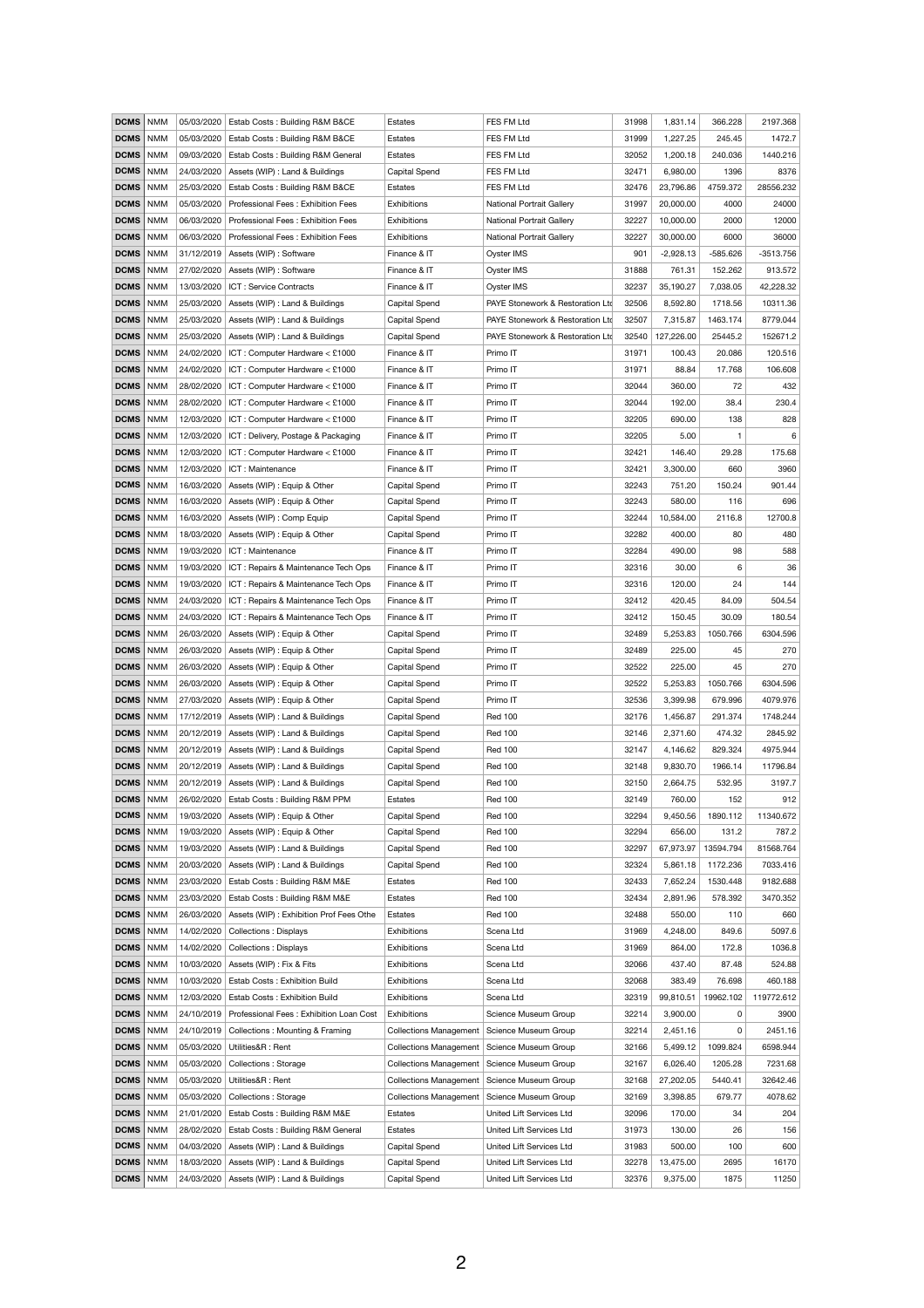| <b>DCMS</b>       | NMM        | 05/03/2020 | Estab Costs: Building R&M B&CE               | Estates                                       | FES FM Ltd                       | 31998 | 1,831.14    | 366.228               | 2197.368    |
|-------------------|------------|------------|----------------------------------------------|-----------------------------------------------|----------------------------------|-------|-------------|-----------------------|-------------|
| <b>DCMS</b>       | NMM        | 05/03/2020 | Estab Costs: Building R&M B&CE               | Estates                                       | FES FM Ltd                       | 31999 | 1,227.25    | 245.45                | 1472.7      |
| <b>DCMS</b>       | NMM        | 09/03/2020 | Estab Costs: Building R&M General            | Estates                                       | FES FM Ltd                       | 32052 | 1,200.18    | 240.036               | 1440.216    |
| <b>DCMS</b>       | NMM        | 24/03/2020 | Assets (WIP) : Land & Buildings              | Capital Spend                                 | FES FM Ltd                       | 32471 | 6,980.00    | 1396                  | 8376        |
| <b>DCMS</b>       | NMM        | 25/03/2020 | Estab Costs: Building R&M B&CE               | Estates                                       | FES FM Ltd                       | 32476 | 23,796.86   | 4759.372              | 28556.232   |
| <b>DCMS</b>       | NMM        | 05/03/2020 | Professional Fees: Exhibition Fees           | <b>Exhibitions</b>                            | <b>National Portrait Gallery</b> | 31997 | 20,000.00   | 4000                  | 24000       |
| <b>DCMS</b>       | <b>NMM</b> | 06/03/2020 | Professional Fees: Exhibition Fees           | Exhibitions                                   | <b>National Portrait Gallery</b> | 32227 | 10,000.00   | 2000                  | 12000       |
| <b>DCMS</b>       | NMM        | 06/03/2020 | Professional Fees: Exhibition Fees           | Exhibitions                                   | <b>National Portrait Gallery</b> | 32227 | 30,000.00   | 6000                  | 36000       |
| <b>DCMS</b>       | NMM        | 31/12/2019 | Assets (WIP) : Software                      | Finance & IT                                  | Oyster IMS                       | 901   | $-2,928.13$ | $-585.626$            | $-3513.756$ |
| <b>DCMS</b>       | NMM        | 27/02/2020 | Assets (WIP) : Software                      | Finance & IT                                  | Oyster IMS                       | 31888 | 761.31      | 152.262               | 913.572     |
| <b>DCMS</b>       | NMM        | 13/03/2020 | ICT: Service Contracts                       | Finance & IT                                  | Oyster IMS                       | 32237 | 35,190.27   | 7,038.05              | 42,228.32   |
| <b>DCMS</b>       | <b>NMM</b> | 25/03/2020 | Assets (WIP) : Land & Buildings              | Capital Spend                                 | PAYE Stonework & Restoration Ltd | 32506 | 8,592.80    | 1718.56               | 10311.36    |
| <b>DCMS</b>       | NMM        | 25/03/2020 | Assets (WIP) : Land & Buildings              | Capital Spend                                 | PAYE Stonework & Restoration Ltd | 32507 | 7,315.87    | 1463.174              | 8779.044    |
| <b>DCMS</b>       | NMM        | 25/03/2020 | Assets (WIP) : Land & Buildings              | Capital Spend                                 | PAYE Stonework & Restoration Ltd | 32540 | 127,226.00  | 25445.2               | 152671.2    |
| <b>DCMS</b>       | <b>NMM</b> | 24/02/2020 | ICT: Computer Hardware < £1000               | Finance & IT                                  | Primo IT                         | 31971 | 100.43      | 20.086                | 120.516     |
| <b>DCMS</b>       | <b>NMM</b> | 24/02/2020 | ICT: Computer Hardware < £1000               | Finance & IT                                  | Primo IT                         | 31971 | 88.84       | 17.768                | 106.608     |
| <b>DCMS</b>       | NMM        | 28/02/2020 | ICT: Computer Hardware < £1000               | Finance & IT                                  | Primo IT                         | 32044 | 360.00      | 72                    | 432         |
| <b>DCMS</b>       | <b>NMM</b> | 28/02/2020 | ICT: Computer Hardware < £1000               | Finance & IT                                  | Primo IT                         | 32044 | 192.00      | 38.4                  | 230.4       |
| <b>DCMS</b>       | <b>NMM</b> | 12/03/2020 | ICT: Computer Hardware < £1000               | Finance & IT                                  | Primo IT                         | 32205 | 690.00      | 138                   | 828         |
| <b>DCMS</b>       | NMM        | 12/03/2020 | ICT: Delivery, Postage & Packaging           | Finance & IT                                  | Primo IT                         | 32205 | 5.00        | $\mathbf{1}$          | $\,6$       |
| <b>DCMS</b>       | NMM        | 12/03/2020 | ICT: Computer Hardware < £1000               | Finance & IT                                  | Primo IT                         | 32421 | 146.40      | 29.28                 | 175.68      |
| <b>DCMS</b>       | NMM        | 12/03/2020 | ICT: Maintenance                             | Finance & IT                                  | Primo IT                         | 32421 | 3,300.00    | 660                   | 3960        |
| <b>DCMS</b>       | NMM        | 16/03/2020 | Assets (WIP) : Equip & Other                 | Capital Spend                                 | Primo IT                         | 32243 | 751.20      | 150.24                | 901.44      |
| <b>DCMS</b>       | NMM        | 16/03/2020 | Assets (WIP) : Equip & Other                 | Capital Spend                                 | Primo IT                         | 32243 | 580.00      | 116                   | 696         |
| DCMS   NMM        |            | 16/03/2020 | Assets (WIP) : Comp Equip                    | Capital Spend                                 | Primo IT                         | 32244 | 10,584.00   | 2116.8                | 12700.8     |
| <b>DCMS</b>   NMM |            | 18/03/2020 | Assets (WIP) : Equip & Other                 | Capital Spend                                 | Primo IT                         | 32282 | 400.00      | 80                    | 480         |
| DCMS   NMM        |            | 19/03/2020 | ICT: Maintenance                             | Finance & IT                                  | Primo IT                         | 32284 | 490.00      | 98                    | 588         |
| <b>DCMS</b>   NMM |            | 19/03/2020 | ICT: Repairs & Maintenance Tech Ops          | Finance & IT                                  | Primo IT                         | 32316 | 30.00       | 6                     | 36          |
| <b>DCMS</b>   NMM |            | 19/03/2020 | ICT: Repairs & Maintenance Tech Ops          | Finance & IT                                  | Primo IT                         | 32316 | 120.00      | 24                    | 144         |
| <b>DCMS</b> NMM   |            | 24/03/2020 | ICT: Repairs & Maintenance Tech Ops          | Finance & IT                                  | Primo IT                         | 32412 | 420.45      | 84.09                 | 504.54      |
| DCMS   NMM        |            | 24/03/2020 | ICT: Repairs & Maintenance Tech Ops          | Finance & IT                                  | Primo IT                         | 32412 | 150.45      | 30.09                 | 180.54      |
| <b>DCMS</b>   NMM |            | 26/03/2020 | Assets (WIP) : Equip & Other                 | Capital Spend                                 | Primo IT                         | 32489 | 5,253.83    | 1050.766              | 6304.596    |
| <b>DCMS</b>   NMM |            | 26/03/2020 | Assets (WIP) : Equip & Other                 | Capital Spend                                 | Primo IT                         | 32489 | 225.00      | 45                    | 270         |
| DCMS   NMM        |            | 26/03/2020 | Assets (WIP) : Equip & Other                 | Capital Spend                                 | Primo IT                         | 32522 | 225.00      | 45                    | 270         |
| DCMS   NMM        |            | 26/03/2020 | Assets (WIP) : Equip & Other                 | Capital Spend                                 | Primo IT                         | 32522 | 5,253.83    | 1050.766              | 6304.596    |
| <b>DCMS</b>   NMM |            | 27/03/2020 | Assets (WIP) : Equip & Other                 | Capital Spend                                 | Primo IT                         | 32536 | 3,399.98    | 679.996               | 4079.976    |
| DCMS   NMM        |            | 17/12/2019 | Assets (WIP) : Land & Buildings              | Capital Spend                                 | <b>Red 100</b>                   | 32176 | 1,456.87    | 291.374               | 1748.244    |
| <b>DCMS</b>   NMM |            | 20/12/2019 | Assets (WIP) : Land & Buildings              | Capital Spend                                 | <b>Red 100</b>                   | 32146 | 2,371.60    | 474.32                | 2845.92     |
| DCMS   NMM        |            | 20/12/2019 | Assets (WIP) : Land & Buildings              | Capital Spend                                 | <b>Red 100</b>                   | 32147 | 4,146.62    | 829.324               | 4975.944    |
| DCMS   NMM        |            | 20/12/2019 | Assets (WIP) : Land & Buildings              | Capital Spend                                 | <b>Red 100</b>                   | 32148 | 9,830.70    | 1966.14               | 11796.84    |
| <b>DCMS</b>   NMM |            | 20/12/2019 | Assets (WIP) : Land & Buildings              | Capital Spend                                 | <b>Red 100</b>                   | 32150 | 2,664.75    | 532.95                | 3197.7      |
| <b>DCMS</b>   NMM |            | 26/02/2020 | Estab Costs: Building R&M PPM                | <b>Estates</b>                                | <b>Red 100</b>                   | 32149 | 760.00      | 152                   | 912         |
| DCMS   NMM        |            | 19/03/2020 | Assets (WIP) : Equip & Other                 | Capital Spend                                 | <b>Red 100</b>                   | 32294 | 9,450.56    | 1890.112              | 11340.672   |
| <b>DCMS</b> NMM   |            |            | 19/03/2020   Assets (WIP) : Equip & Other    | Capital Spend                                 | <b>Red 100</b>                   | 32294 | 656.00      | 131.2                 | 787.2       |
| <b>DCMS</b> NMM   |            |            | 19/03/2020   Assets (WIP) : Land & Buildings | Capital Spend                                 | <b>Red 100</b>                   | 32297 |             | 67,973.97   13594.794 | 81568.764   |
| <b>DCMS</b>   NMM |            | 20/03/2020 | Assets (WIP) : Land & Buildings              | Capital Spend                                 | <b>Red 100</b>                   | 32324 | 5,861.18    | 1172.236              | 7033.416    |
| <b>DCMS</b>       | NMM        | 23/03/2020 | Estab Costs: Building R&M M&E                | Estates                                       | <b>Red 100</b>                   | 32433 | 7,652.24    | 1530.448              | 9182.688    |
| DCMS   NMM        |            | 23/03/2020 | Estab Costs: Building R&M M&E                | Estates                                       | <b>Red 100</b>                   | 32434 | 2,891.96    | 578.392               | 3470.352    |
| <b>DCMS</b>   NMM |            | 26/03/2020 | Assets (WIP) : Exhibition Prof Fees Othe     | Estates                                       | <b>Red 100</b>                   | 32488 | 550.00      | 110                   | 660         |
| <b>DCMS</b>   NMM |            | 14/02/2020 | <b>Collections: Displays</b>                 | <b>Exhibitions</b>                            | Scena Ltd                        | 31969 | 4,248.00    | 849.6                 | 5097.6      |
| <b>DCMS</b>       | NMM        | 14/02/2020 | <b>Collections: Displays</b>                 | Exhibitions                                   | Scena Ltd                        | 31969 | 864.00      | 172.8                 | 1036.8      |
| DCMS   NMM        |            | 10/03/2020 | Assets (WIP) : Fix & Fits                    | Exhibitions                                   | Scena Ltd                        | 32066 | 437.40      | 87.48                 | 524.88      |
| DCMS   NMM        |            | 10/03/2020 | Estab Costs: Exhibition Build                | <b>Exhibitions</b>                            | Scena Ltd                        | 32068 | 383.49      | 76.698                | 460.188     |
| <b>DCMS</b>       | NMM        | 12/03/2020 | Estab Costs: Exhibition Build                | Exhibitions                                   | Scena Ltd                        | 32319 | 99,810.51   | 19962.102             | 119772.612  |
| DCMS   NMM        |            | 24/10/2019 | Professional Fees: Exhibition Loan Cost      | Exhibitions                                   | Science Museum Group             | 32214 | 3,900.00    | 0                     | 3900        |
| <b>DCMS</b>   NMM |            | 24/10/2019 | Collections: Mounting & Framing              | <b>Collections Management</b>                 | Science Museum Group             | 32214 | 2,451.16    | 0                     | 2451.16     |
| <b>DCMS</b>       | NMM        | 05/03/2020 | Utilities&R: Rent                            | <b>Collections Management</b>                 | Science Museum Group             | 32166 | 5,499.12    | 1099.824              | 6598.944    |
| <b>DCMS</b>   NMM |            | 05/03/2020 | <b>Collections: Storage</b>                  | <b>Collections Management</b>                 | Science Museum Group             | 32167 | 6,026.40    | 1205.28               | 7231.68     |
| <b>DCMS</b>   NMM |            | 05/03/2020 | Utilities&R: Rent                            | <b>Collections Management</b>                 | Science Museum Group             | 32168 | 27,202.05   | 5440.41               | 32642.46    |
| <b>DCMS</b>       | NMM        | 05/03/2020 | <b>Collections: Storage</b>                  | Collections Management   Science Museum Group |                                  | 32169 | 3,398.85    | 679.77                | 4078.62     |
| <b>DCMS</b>   NMM |            | 21/01/2020 | Estab Costs: Building R&M M&E                | Estates                                       | United Lift Services Ltd         | 32096 | 170.00      | 34                    | 204         |
| <b>DCMS</b>   NMM |            | 28/02/2020 | Estab Costs: Building R&M General            | Estates                                       | United Lift Services Ltd         | 31973 | 130.00      | 26                    | 156         |
| <b>DCMS</b>       | NMM        | 04/03/2020 | Assets (WIP) : Land & Buildings              | Capital Spend                                 | United Lift Services Ltd         | 31983 | 500.00      | 100                   | 600         |
| <b>DCMS</b>   NMM |            | 18/03/2020 | Assets (WIP) : Land & Buildings              | Capital Spend                                 | United Lift Services Ltd         | 32278 | 13,475.00   | 2695                  | 16170       |
| <b>DCMS</b> NMM   |            | 24/03/2020 | Assets (WIP) : Land & Buildings              | Capital Spend                                 | United Lift Services Ltd         | 32376 | 9,375.00    | 1875                  | 11250       |